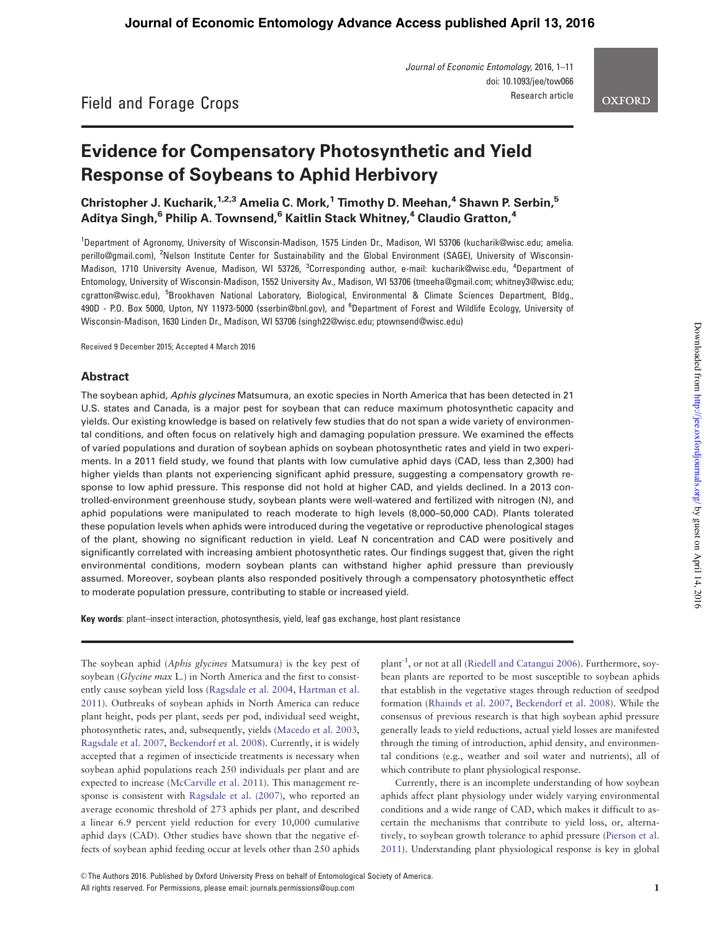# Field and Forage Crops

Journal of Economic Entomology, 2016, 1–11 doi: 10.1093/jee/tow066 Research article

# **OXFORD**

# Evidence for Compensatory Photosynthetic and Yield Response of Soybeans to Aphid Herbivory

Christopher J. Kucharik,<sup>1,2,3</sup> Amelia C. Mork,<sup>1</sup> Timothy D. Meehan,<sup>4</sup> Shawn P. Serbin,<sup>5</sup> Aditya Singh,<sup>6</sup> Philip A. Townsend,<sup>6</sup> Kaitlin Stack Whitney,<sup>4</sup> Claudio Gratton,<sup>4</sup>

1 Department of Agronomy, University of Wisconsin-Madison, 1575 Linden Dr., Madison, WI 53706 (kucharik@wisc.edu; amelia. perillo@gmail.com), <sup>2</sup>Nelson Institute Center for Sustainability and the Global Environment (SAGE), University of Wisconsin-Madison, 1710 University Avenue, Madison, WI 53726, <sup>3</sup>Corresponding author, e-mail: kucharik@wisc.edu, <sup>4</sup>Department of Entomology, University of Wisconsin-Madison, 1552 University Av., Madison, WI 53706 (tmeeha@gmail.com; whitney3@wisc.edu; cgratton@wisc.edu), <sup>5</sup>Brookhaven National Laboratory, Biological, Environmental & Climate Sciences Department, Bldg., 490D - P.O. Box 5000, Upton, NY 11973-5000 (sserbin@bnl.gov), and <sup>6</sup>Department of Forest and Wildlife Ecology, University of Wisconsin-Madison, 1630 Linden Dr., Madison, WI 53706 (singh22@wisc.edu; ptownsend@wisc.edu)

Received 9 December 2015; Accepted 4 March 2016

# Abstract

The soybean aphid, Aphis glycines Matsumura, an exotic species in North America that has been detected in 21 U.S. states and Canada, is a major pest for soybean that can reduce maximum photosynthetic capacity and yields. Our existing knowledge is based on relatively few studies that do not span a wide variety of environmental conditions, and often focus on relatively high and damaging population pressure. We examined the effects of varied populations and duration of soybean aphids on soybean photosynthetic rates and yield in two experiments. In a 2011 field study, we found that plants with low cumulative aphid days (CAD, less than 2,300) had higher yields than plants not experiencing significant aphid pressure, suggesting a compensatory growth response to low aphid pressure. This response did not hold at higher CAD, and yields declined. In a 2013 controlled-environment greenhouse study, soybean plants were well-watered and fertilized with nitrogen (N), and aphid populations were manipulated to reach moderate to high levels (8,000–50,000 CAD). Plants tolerated these population levels when aphids were introduced during the vegetative or reproductive phenological stages of the plant, showing no significant reduction in yield. Leaf N concentration and CAD were positively and significantly correlated with increasing ambient photosynthetic rates. Our findings suggest that, given the right environmental conditions, modern soybean plants can withstand higher aphid pressure than previously assumed. Moreover, soybean plants also responded positively through a compensatory photosynthetic effect to moderate population pressure, contributing to stable or increased yield.

Key words: plant-insect interaction, photosynthesis, yield, leaf gas exchange, host plant resistance

The soybean aphid (Aphis glycines Matsumura) is the key pest of soybean (Glycine max L.) in North America and the first to consistently cause soybean yield loss (Ragsdale et al. 2004, Hartman et al. 2011). Outbreaks of soybean aphids in North America can reduce plant height, pods per plant, seeds per pod, individual seed weight, photosynthetic rates, and, subsequently, yields (Macedo et al. 2003, Ragsdale et al. 2007, Beckendorf et al. 2008). Currently, it is widely accepted that a regimen of insecticide treatments is necessary when soybean aphid populations reach 250 individuals per plant and are expected to increase (McCarville et al. 2011). This management response is consistent with Ragsdale et al. (2007), who reported an average economic threshold of 273 aphids per plant, and described a linear 6.9 percent yield reduction for every 10,000 cumulative aphid days (CAD). Other studies have shown that the negative effects of soybean aphid feeding occur at levels other than 250 aphids plant-1, or not at all (Riedell and Catangui 2006). Furthermore, soybean plants are reported to be most susceptible to soybean aphids that establish in the vegetative stages through reduction of seedpod formation (Rhainds et al. 2007, Beckendorf et al. 2008). While the consensus of previous research is that high soybean aphid pressure generally leads to yield reductions, actual yield losses are manifested through the timing of introduction, aphid density, and environmental conditions (e.g., weather and soil water and nutrients), all of which contribute to plant physiological response.

Currently, there is an incomplete understanding of how soybean aphids affect plant physiology under widely varying environmental conditions and a wide range of CAD, which makes it difficult to ascertain the mechanisms that contribute to yield loss, or, alternatively, to soybean growth tolerance to aphid pressure (Pierson et al. 2011). Understanding plant physiological response is key in global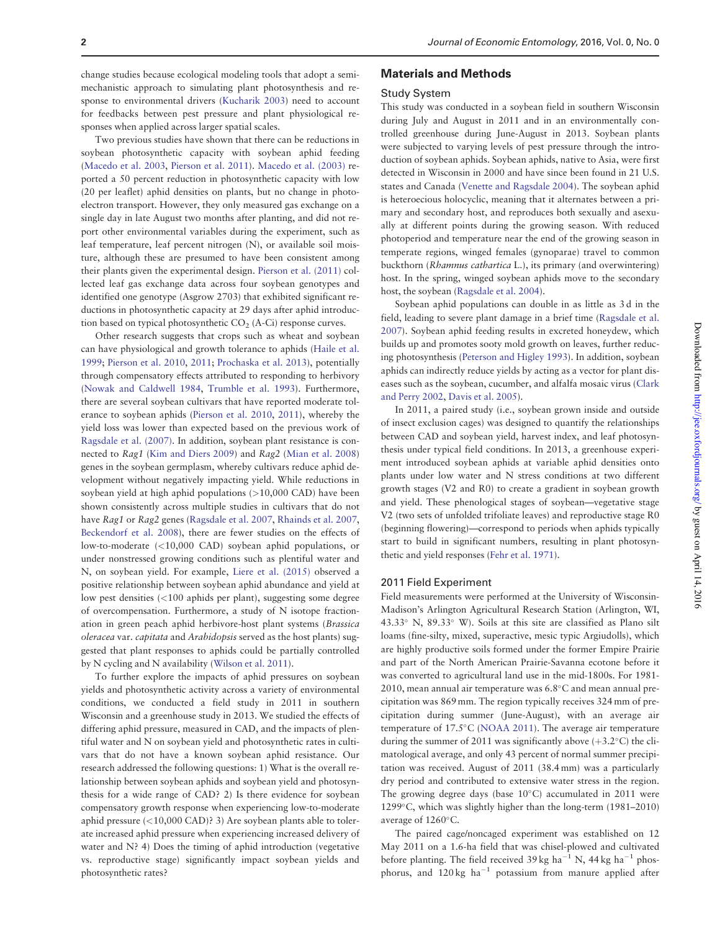change studies because ecological modeling tools that adopt a semimechanistic approach to simulating plant photosynthesis and response to environmental drivers (Kucharik 2003) need to account for feedbacks between pest pressure and plant physiological responses when applied across larger spatial scales.

Two previous studies have shown that there can be reductions in soybean photosynthetic capacity with soybean aphid feeding (Macedo et al. 2003, Pierson et al. 2011). Macedo et al. (2003) reported a 50 percent reduction in photosynthetic capacity with low (20 per leaflet) aphid densities on plants, but no change in photoelectron transport. However, they only measured gas exchange on a single day in late August two months after planting, and did not report other environmental variables during the experiment, such as leaf temperature, leaf percent nitrogen (N), or available soil moisture, although these are presumed to have been consistent among their plants given the experimental design. Pierson et al. (2011) collected leaf gas exchange data across four soybean genotypes and identified one genotype (Asgrow 2703) that exhibited significant reductions in photosynthetic capacity at 29 days after aphid introduction based on typical photosynthetic  $CO<sub>2</sub>$  (A-Ci) response curves.

Other research suggests that crops such as wheat and soybean can have physiological and growth tolerance to aphids (Haile et al. 1999; Pierson et al. 2010, 2011; Prochaska et al. 2013), potentially through compensatory effects attributed to responding to herbivory (Nowak and Caldwell 1984, Trumble et al. 1993). Furthermore, there are several soybean cultivars that have reported moderate tolerance to soybean aphids (Pierson et al. 2010, 2011), whereby the yield loss was lower than expected based on the previous work of Ragsdale et al. (2007). In addition, soybean plant resistance is connected to Rag1 (Kim and Diers 2009) and Rag2 (Mian et al. 2008) genes in the soybean germplasm, whereby cultivars reduce aphid development without negatively impacting yield. While reductions in soybean yield at high aphid populations (>10,000 CAD) have been shown consistently across multiple studies in cultivars that do not have Rag1 or Rag2 genes (Ragsdale et al. 2007, Rhainds et al. 2007, Beckendorf et al. 2008), there are fewer studies on the effects of low-to-moderate (<10,000 CAD) soybean aphid populations, or under nonstressed growing conditions such as plentiful water and N, on soybean yield. For example, Liere et al. (2015) observed a positive relationship between soybean aphid abundance and yield at low pest densities (<100 aphids per plant), suggesting some degree of overcompensation. Furthermore, a study of N isotope fractionation in green peach aphid herbivore-host plant systems (Brassica oleracea var. capitata and Arabidopsis served as the host plants) suggested that plant responses to aphids could be partially controlled by N cycling and N availability (Wilson et al. 2011).

To further explore the impacts of aphid pressures on soybean yields and photosynthetic activity across a variety of environmental conditions, we conducted a field study in 2011 in southern Wisconsin and a greenhouse study in 2013. We studied the effects of differing aphid pressure, measured in CAD, and the impacts of plentiful water and N on soybean yield and photosynthetic rates in cultivars that do not have a known soybean aphid resistance. Our research addressed the following questions: 1) What is the overall relationship between soybean aphids and soybean yield and photosynthesis for a wide range of CAD? 2) Is there evidence for soybean compensatory growth response when experiencing low-to-moderate aphid pressure (<10,000 CAD)? 3) Are soybean plants able to tolerate increased aphid pressure when experiencing increased delivery of water and N? 4) Does the timing of aphid introduction (vegetative vs. reproductive stage) significantly impact soybean yields and photosynthetic rates?

#### Materials and Methods

#### Study System

This study was conducted in a soybean field in southern Wisconsin during July and August in 2011 and in an environmentally controlled greenhouse during June-August in 2013. Soybean plants were subjected to varying levels of pest pressure through the introduction of soybean aphids. Soybean aphids, native to Asia, were first detected in Wisconsin in 2000 and have since been found in 21 U.S. states and Canada (Venette and Ragsdale 2004). The soybean aphid is heteroecious holocyclic, meaning that it alternates between a primary and secondary host, and reproduces both sexually and asexually at different points during the growing season. With reduced photoperiod and temperature near the end of the growing season in temperate regions, winged females (gynoparae) travel to common buckthorn (Rhamnus cathartica L.), its primary (and overwintering) host. In the spring, winged soybean aphids move to the secondary host, the soybean (Ragsdale et al. 2004).

Soybean aphid populations can double in as little as 3 d in the field, leading to severe plant damage in a brief time (Ragsdale et al. 2007). Soybean aphid feeding results in excreted honeydew, which builds up and promotes sooty mold growth on leaves, further reducing photosynthesis (Peterson and Higley 1993). In addition, soybean aphids can indirectly reduce yields by acting as a vector for plant diseases such as the soybean, cucumber, and alfalfa mosaic virus (Clark and Perry 2002, Davis et al. 2005).

In 2011, a paired study (i.e., soybean grown inside and outside of insect exclusion cages) was designed to quantify the relationships between CAD and soybean yield, harvest index, and leaf photosynthesis under typical field conditions. In 2013, a greenhouse experiment introduced soybean aphids at variable aphid densities onto plants under low water and N stress conditions at two different growth stages (V2 and R0) to create a gradient in soybean growth and yield. These phenological stages of soybean—vegetative stage V2 (two sets of unfolded trifoliate leaves) and reproductive stage R0 (beginning flowering)—correspond to periods when aphids typically start to build in significant numbers, resulting in plant photosynthetic and yield responses (Fehr et al. 1971).

#### 2011 Field Experiment

Field measurements were performed at the University of Wisconsin-Madison's Arlington Agricultural Research Station (Arlington, WI, 43.33 $\degree$  N, 89.33 $\degree$  W). Soils at this site are classified as Plano silt loams (fine-silty, mixed, superactive, mesic typic Argiudolls), which are highly productive soils formed under the former Empire Prairie and part of the North American Prairie-Savanna ecotone before it was converted to agricultural land use in the mid-1800s. For 1981- 2010, mean annual air temperature was  $6.8^{\circ}$ C and mean annual precipitation was 869 mm. The region typically receives 324 mm of precipitation during summer (June-August), with an average air temperature of  $17.5^{\circ}$ C (NOAA 2011). The average air temperature during the summer of 2011 was significantly above  $(+3.2^{\circ}C)$  the climatological average, and only 43 percent of normal summer precipitation was received. August of 2011 (38.4 mm) was a particularly dry period and contributed to extensive water stress in the region. The growing degree days (base  $10^{\circ}$ C) accumulated in 2011 were 1299 $\degree$ C, which was slightly higher than the long-term (1981–2010) average of  $1260^{\circ}$ C.

The paired cage/noncaged experiment was established on 12 May 2011 on a 1.6-ha field that was chisel-plowed and cultivated before planting. The field received 39 kg ha<sup>-1</sup> N, 44 kg ha<sup>-1</sup> phosphorus, and  $120 \text{ kg}$  ha<sup>-1</sup> potassium from manure applied after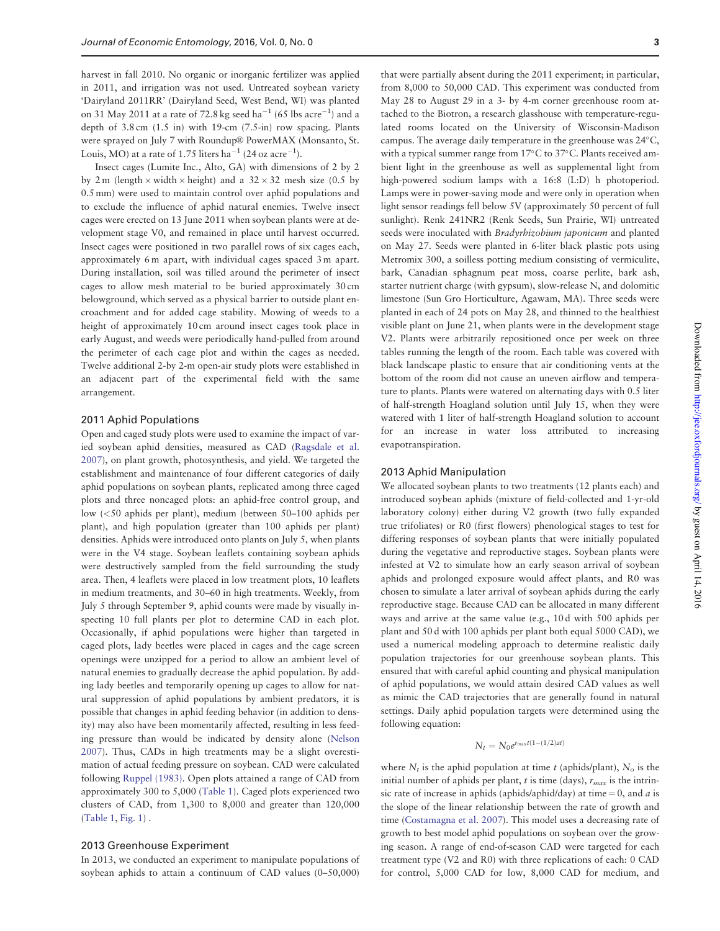harvest in fall 2010. No organic or inorganic fertilizer was applied in 2011, and irrigation was not used. Untreated soybean variety 'Dairyland 2011RR' (Dairyland Seed, West Bend, WI) was planted on 31 May 2011 at a rate of 72.8 kg seed ha<sup>-1</sup> (65 lbs acre<sup>-1</sup>) and a depth of 3.8 cm (1.5 in) with 19-cm (7.5-in) row spacing. Plants were sprayed on July 7 with Roundup® PowerMAX (Monsanto, St. Louis, MO) at a rate of 1.75 liters ha<sup>-1</sup> (24 oz acre<sup>-1</sup>).

Insect cages (Lumite Inc., Alto, GA) with dimensions of 2 by 2 by 2 m (length  $\times$  width  $\times$  height) and a 32  $\times$  32 mesh size (0.5 by 0.5 mm) were used to maintain control over aphid populations and to exclude the influence of aphid natural enemies. Twelve insect cages were erected on 13 June 2011 when soybean plants were at development stage V0, and remained in place until harvest occurred. Insect cages were positioned in two parallel rows of six cages each, approximately 6 m apart, with individual cages spaced 3 m apart. During installation, soil was tilled around the perimeter of insect cages to allow mesh material to be buried approximately 30 cm belowground, which served as a physical barrier to outside plant encroachment and for added cage stability. Mowing of weeds to a height of approximately 10 cm around insect cages took place in early August, and weeds were periodically hand-pulled from around the perimeter of each cage plot and within the cages as needed. Twelve additional 2-by 2-m open-air study plots were established in an adjacent part of the experimental field with the same arrangement.

#### 2011 Aphid Populations

Open and caged study plots were used to examine the impact of varied soybean aphid densities, measured as CAD (Ragsdale et al. 2007), on plant growth, photosynthesis, and yield. We targeted the establishment and maintenance of four different categories of daily aphid populations on soybean plants, replicated among three caged plots and three noncaged plots: an aphid-free control group, and low (<50 aphids per plant), medium (between 50–100 aphids per plant), and high population (greater than 100 aphids per plant) densities. Aphids were introduced onto plants on July 5, when plants were in the V4 stage. Soybean leaflets containing soybean aphids were destructively sampled from the field surrounding the study area. Then, 4 leaflets were placed in low treatment plots, 10 leaflets in medium treatments, and 30–60 in high treatments. Weekly, from July 5 through September 9, aphid counts were made by visually inspecting 10 full plants per plot to determine CAD in each plot. Occasionally, if aphid populations were higher than targeted in caged plots, lady beetles were placed in cages and the cage screen openings were unzipped for a period to allow an ambient level of natural enemies to gradually decrease the aphid population. By adding lady beetles and temporarily opening up cages to allow for natural suppression of aphid populations by ambient predators, it is possible that changes in aphid feeding behavior (in addition to density) may also have been momentarily affected, resulting in less feeding pressure than would be indicated by density alone (Nelson 2007). Thus, CADs in high treatments may be a slight overestimation of actual feeding pressure on soybean. CAD were calculated following Ruppel (1983). Open plots attained a range of CAD from approximately 300 to 5,000 (Table 1). Caged plots experienced two clusters of CAD, from 1,300 to 8,000 and greater than 120,000 (Table 1, Fig. 1) .

#### 2013 Greenhouse Experiment

In 2013, we conducted an experiment to manipulate populations of soybean aphids to attain a continuum of CAD values (0–50,000) that were partially absent during the 2011 experiment; in particular, from 8,000 to 50,000 CAD. This experiment was conducted from May 28 to August 29 in a 3- by 4-m corner greenhouse room attached to the Biotron, a research glasshouse with temperature-regulated rooms located on the University of Wisconsin-Madison campus. The average daily temperature in the greenhouse was  $24^{\circ}$ C, with a typical summer range from  $17^{\circ}$ C to  $37^{\circ}$ C. Plants received ambient light in the greenhouse as well as supplemental light from high-powered sodium lamps with a 16:8 (L:D) h photoperiod. Lamps were in power-saving mode and were only in operation when light sensor readings fell below 5V (approximately 50 percent of full sunlight). Renk 241NR2 (Renk Seeds, Sun Prairie, WI) untreated seeds were inoculated with Bradyrhizobium japonicum and planted on May 27. Seeds were planted in 6-liter black plastic pots using Metromix 300, a soilless potting medium consisting of vermiculite, bark, Canadian sphagnum peat moss, coarse perlite, bark ash, starter nutrient charge (with gypsum), slow-release N, and dolomitic limestone (Sun Gro Horticulture, Agawam, MA). Three seeds were planted in each of 24 pots on May 28, and thinned to the healthiest visible plant on June 21, when plants were in the development stage V2. Plants were arbitrarily repositioned once per week on three tables running the length of the room. Each table was covered with black landscape plastic to ensure that air conditioning vents at the bottom of the room did not cause an uneven airflow and temperature to plants. Plants were watered on alternating days with 0.5 liter of half-strength Hoagland solution until July 15, when they were watered with 1 liter of half-strength Hoagland solution to account for an increase in water loss attributed to increasing evapotranspiration.

### 2013 Aphid Manipulation

We allocated soybean plants to two treatments (12 plants each) and introduced soybean aphids (mixture of field-collected and 1-yr-old laboratory colony) either during V2 growth (two fully expanded true trifoliates) or R0 (first flowers) phenological stages to test for differing responses of soybean plants that were initially populated during the vegetative and reproductive stages. Soybean plants were infested at V2 to simulate how an early season arrival of soybean aphids and prolonged exposure would affect plants, and R0 was chosen to simulate a later arrival of soybean aphids during the early reproductive stage. Because CAD can be allocated in many different ways and arrive at the same value (e.g., 10 d with 500 aphids per plant and 50 d with 100 aphids per plant both equal 5000 CAD), we used a numerical modeling approach to determine realistic daily population trajectories for our greenhouse soybean plants. This ensured that with careful aphid counting and physical manipulation of aphid populations, we would attain desired CAD values as well as mimic the CAD trajectories that are generally found in natural settings. Daily aphid population targets were determined using the following equation:

$$
N_t = N_0 e^{r_{\text{max}}t(1-(1/2)at)}
$$

where  $N_t$  is the aphid population at time t (aphids/plant),  $N_o$  is the initial number of aphids per plant,  $t$  is time (days),  $r_{max}$  is the intrinsic rate of increase in aphids (aphids/aphid/day) at time = 0, and  $a$  is the slope of the linear relationship between the rate of growth and time (Costamagna et al. 2007). This model uses a decreasing rate of growth to best model aphid populations on soybean over the growing season. A range of end-of-season CAD were targeted for each treatment type (V2 and R0) with three replications of each: 0 CAD for control, 5,000 CAD for low, 8,000 CAD for medium, and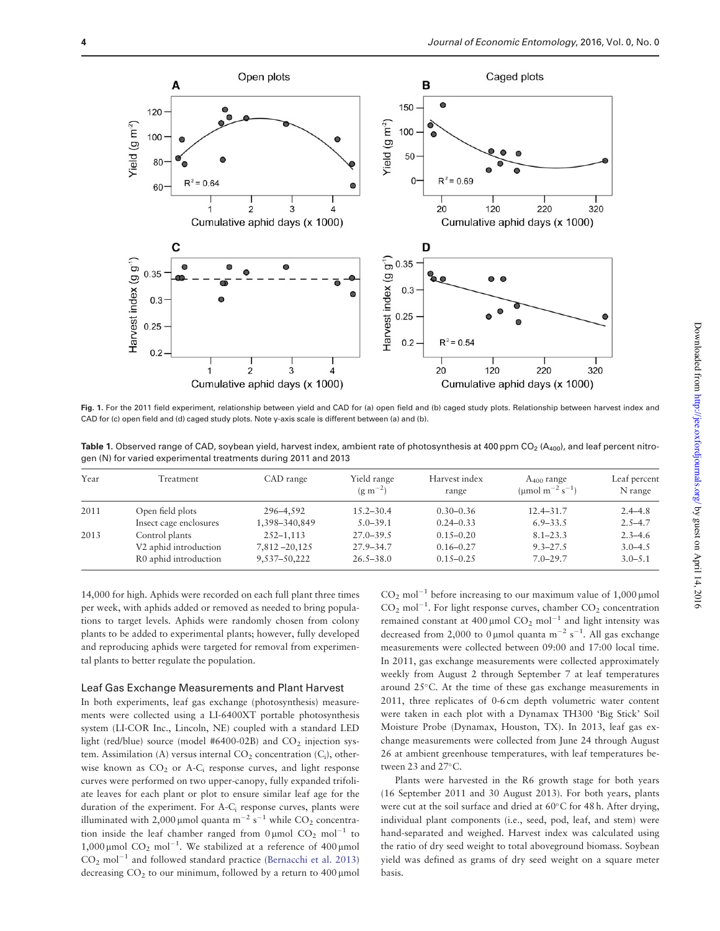

Fig. 1. For the 2011 field experiment, relationship between yield and CAD for (a) open field and (b) caged study plots. Relationship between harvest index and CAD for (c) open field and (d) caged study plots. Note y-axis scale is different between (a) and (b).

Table 1. Observed range of CAD, soybean yield, harvest index, ambient rate of photosynthesis at 400 ppm CO<sub>2</sub> (A<sub>400</sub>), and leaf percent nitrogen (N) for varied experimental treatments during 2011 and 2013

| Year | Treatment              | CAD range        | Yield range<br>$(g m^{-2})$ | Harvest index<br>range | $A_{400}$ range<br>(umol m <sup><math>-2</math></sup> s <sup><math>-1</math></sup> ) | Leaf percent<br>N range |
|------|------------------------|------------------|-----------------------------|------------------------|--------------------------------------------------------------------------------------|-------------------------|
| 2011 | Open field plots       | 296–4,592        | $15.2 - 30.4$               | $0.30 - 0.36$          | $12.4 - 31.7$                                                                        | $2.4 - 4.8$             |
|      | Insect cage enclosures | 1,398-340,849    | $5.0 - 39.1$                | $0.24 - 0.33$          | $6.9 - 33.5$                                                                         | $2.5 - 4.7$             |
| 2013 | Control plants         | $252 - 1,113$    | $27.0 - 39.5$               | $0.15 - 0.20$          | $8.1 - 23.3$                                                                         | $2.3 - 4.6$             |
|      | V2 aphid introduction  | $7,812 - 20,125$ | $27.9 - 34.7$               | $0.16 - 0.27$          | $9.3 - 27.5$                                                                         | $3.0 - 4.5$             |
|      | R0 aphid introduction  | 9,537-50,222     | $26.5 - 38.0$               | $0.15 - 0.25$          | $7.0 - 29.7$                                                                         | $3.0 - 5.1$             |

14,000 for high. Aphids were recorded on each full plant three times per week, with aphids added or removed as needed to bring populations to target levels. Aphids were randomly chosen from colony plants to be added to experimental plants; however, fully developed and reproducing aphids were targeted for removal from experimental plants to better regulate the population.

#### Leaf Gas Exchange Measurements and Plant Harvest

In both experiments, leaf gas exchange (photosynthesis) measurements were collected using a LI-6400XT portable photosynthesis system (LI-COR Inc., Lincoln, NE) coupled with a standard LED light (red/blue) source (model #6400-02B) and  $CO<sub>2</sub>$  injection system. Assimilation (A) versus internal  $CO<sub>2</sub>$  concentration (C<sub>i</sub>), otherwise known as  $CO<sub>2</sub>$  or A-C<sub>i</sub> response curves, and light response curves were performed on two upper-canopy, fully expanded trifoliate leaves for each plant or plot to ensure similar leaf age for the duration of the experiment. For A-C<sub>i</sub> response curves, plants were illuminated with 2,000 µmol quanta  $m^{-2}$  s<sup>-1</sup> while  $CO_2$  concentration inside the leaf chamber ranged from  $0 \mu$ mol CO<sub>2</sub> mol<sup>-1</sup> to 1,000 µmol  $CO_2$  mol<sup>-1</sup>. We stabilized at a reference of 400 µmol  $CO<sub>2</sub>$  mol<sup>-1</sup> and followed standard practice (Bernacchi et al. 2013) decreasing  $CO<sub>2</sub>$  to our minimum, followed by a return to 400 µmol

 $CO<sub>2</sub>$  mol<sup>-1</sup> before increasing to our maximum value of 1,000 µmol  $CO<sub>2</sub>$  mol<sup>-1</sup>. For light response curves, chamber  $CO<sub>2</sub>$  concentration remained constant at 400 µmol  $CO_2$  mol<sup>-1</sup> and light intensity was decreased from 2,000 to 0 µmol quanta m<sup>-2</sup> s<sup>-1</sup>. All gas exchange measurements were collected between 09:00 and 17:00 local time. In 2011, gas exchange measurements were collected approximately weekly from August 2 through September 7 at leaf temperatures around  $25^{\circ}$ C. At the time of these gas exchange measurements in 2011, three replicates of 0-6 cm depth volumetric water content were taken in each plot with a Dynamax TH300 'Big Stick' Soil Moisture Probe (Dynamax, Houston, TX). In 2013, leaf gas exchange measurements were collected from June 24 through August 26 at ambient greenhouse temperatures, with leaf temperatures between 23 and  $27^{\circ}$ C.

Plants were harvested in the R6 growth stage for both years (16 September 2011 and 30 August 2013). For both years, plants were cut at the soil surface and dried at  $60^{\circ}$ C for 48 h. After drying, individual plant components (i.e., seed, pod, leaf, and stem) were hand-separated and weighed. Harvest index was calculated using the ratio of dry seed weight to total aboveground biomass. Soybean yield was defined as grams of dry seed weight on a square meter basis.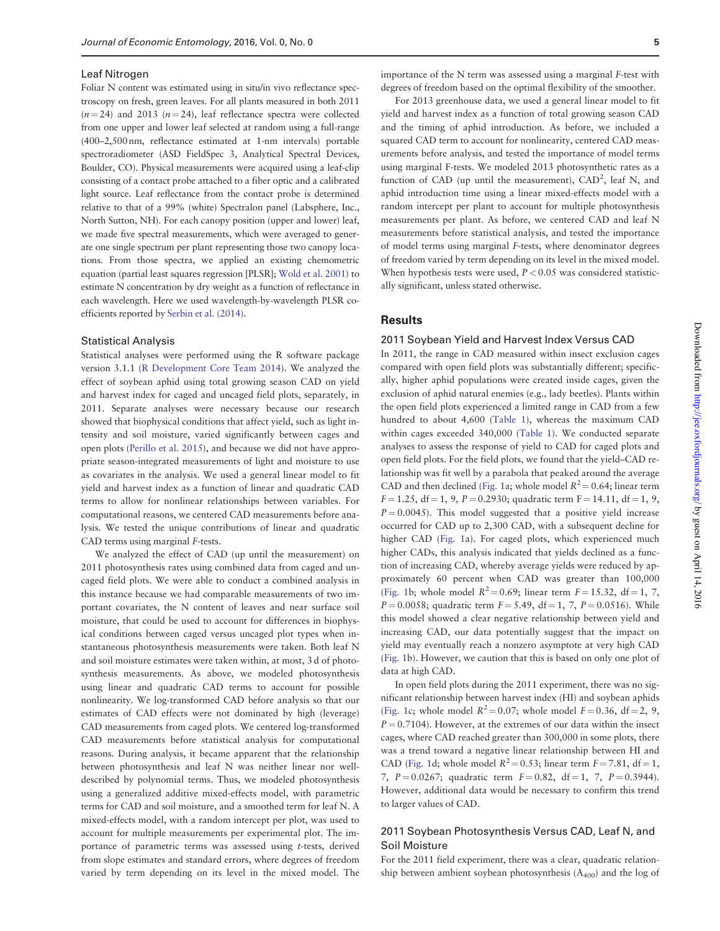#### Leaf Nitrogen

Foliar N content was estimated using in situ/in vivo reflectance spectroscopy on fresh, green leaves. For all plants measured in both 2011  $(n = 24)$  and 2013  $(n = 24)$ , leaf reflectance spectra were collected from one upper and lower leaf selected at random using a full-range (400–2,500 nm, reflectance estimated at 1-nm intervals) portable spectroradiometer (ASD FieldSpec 3, Analytical Spectral Devices, Boulder, CO). Physical measurements were acquired using a leaf-clip consisting of a contact probe attached to a fiber optic and a calibrated light source. Leaf reflectance from the contact probe is determined relative to that of a 99% (white) Spectralon panel (Labsphere, Inc., North Sutton, NH). For each canopy position (upper and lower) leaf, we made five spectral measurements, which were averaged to generate one single spectrum per plant representing those two canopy locations. From those spectra, we applied an existing chemometric equation (partial least squares regression [PLSR]; Wold et al. 2001) to estimate N concentration by dry weight as a function of reflectance in each wavelength. Here we used wavelength-by-wavelength PLSR coefficients reported by Serbin et al. (2014).

#### Statistical Analysis

Statistical analyses were performed using the R software package version 3.1.1 (R Development Core Team 2014). We analyzed the effect of soybean aphid using total growing season CAD on yield and harvest index for caged and uncaged field plots, separately, in 2011. Separate analyses were necessary because our research showed that biophysical conditions that affect yield, such as light intensity and soil moisture, varied significantly between cages and open plots (Perillo et al. 2015), and because we did not have appropriate season-integrated measurements of light and moisture to use as covariates in the analysis. We used a general linear model to fit yield and harvest index as a function of linear and quadratic CAD terms to allow for nonlinear relationships between variables. For computational reasons, we centered CAD measurements before analysis. We tested the unique contributions of linear and quadratic CAD terms using marginal F-tests.

We analyzed the effect of CAD (up until the measurement) on 2011 photosynthesis rates using combined data from caged and uncaged field plots. We were able to conduct a combined analysis in this instance because we had comparable measurements of two important covariates, the N content of leaves and near surface soil moisture, that could be used to account for differences in biophysical conditions between caged versus uncaged plot types when instantaneous photosynthesis measurements were taken. Both leaf N and soil moisture estimates were taken within, at most, 3 d of photosynthesis measurements. As above, we modeled photosynthesis using linear and quadratic CAD terms to account for possible nonlinearity. We log-transformed CAD before analysis so that our estimates of CAD effects were not dominated by high (leverage) CAD measurements from caged plots. We centered log-transformed CAD measurements before statistical analysis for computational reasons. During analysis, it became apparent that the relationship between photosynthesis and leaf N was neither linear nor welldescribed by polynomial terms. Thus, we modeled photosynthesis using a generalized additive mixed-effects model, with parametric terms for CAD and soil moisture, and a smoothed term for leaf N. A mixed-effects model, with a random intercept per plot, was used to account for multiple measurements per experimental plot. The importance of parametric terms was assessed using t-tests, derived from slope estimates and standard errors, where degrees of freedom varied by term depending on its level in the mixed model. The

importance of the N term was assessed using a marginal F-test with degrees of freedom based on the optimal flexibility of the smoother.

For 2013 greenhouse data, we used a general linear model to fit yield and harvest index as a function of total growing season CAD and the timing of aphid introduction. As before, we included a squared CAD term to account for nonlinearity, centered CAD measurements before analysis, and tested the importance of model terms using marginal F-tests. We modeled 2013 photosynthetic rates as a function of CAD (up until the measurement),  $CAD^2$ , leaf N, and aphid introduction time using a linear mixed-effects model with a random intercept per plant to account for multiple photosynthesis measurements per plant. As before, we centered CAD and leaf N measurements before statistical analysis, and tested the importance of model terms using marginal F-tests, where denominator degrees of freedom varied by term depending on its level in the mixed model. When hypothesis tests were used,  $P < 0.05$  was considered statistically significant, unless stated otherwise.

### **Results**

#### 2011 Soybean Yield and Harvest Index Versus CAD

In 2011, the range in CAD measured within insect exclusion cages compared with open field plots was substantially different; specifically, higher aphid populations were created inside cages, given the exclusion of aphid natural enemies (e.g., lady beetles). Plants within the open field plots experienced a limited range in CAD from a few hundred to about 4,600 (Table 1), whereas the maximum CAD within cages exceeded 340,000 (Table 1). We conducted separate analyses to assess the response of yield to CAD for caged plots and open field plots. For the field plots, we found that the yield–CAD relationship was fit well by a parabola that peaked around the average CAD and then declined (Fig. 1a; whole model  $R^2 = 0.64$ ; linear term  $F = 1.25$ , df = 1, 9, P = 0.2930; quadratic term F = 14.11, df = 1, 9,  $P = 0.0045$ ). This model suggested that a positive yield increase occurred for CAD up to 2,300 CAD, with a subsequent decline for higher CAD (Fig. 1a). For caged plots, which experienced much higher CADs, this analysis indicated that yields declined as a function of increasing CAD, whereby average yields were reduced by approximately 60 percent when CAD was greater than 100,000 (Fig. 1b; whole model  $R^2 = 0.69$ ; linear term  $F = 15.32$ , df = 1, 7,  $P = 0.0058$ ; quadratic term  $F = 5.49$ , df = 1, 7,  $P = 0.0516$ ). While this model showed a clear negative relationship between yield and increasing CAD, our data potentially suggest that the impact on yield may eventually reach a nonzero asymptote at very high CAD (Fig. 1b). However, we caution that this is based on only one plot of data at high CAD.

In open field plots during the 2011 experiment, there was no significant relationship between harvest index (HI) and soybean aphids (Fig. 1c; whole model  $R^2 = 0.07$ ; whole model  $F = 0.36$ , df = 2, 9,  $P = 0.7104$ ). However, at the extremes of our data within the insect cages, where CAD reached greater than 300,000 in some plots, there was a trend toward a negative linear relationship between HI and CAD (Fig. 1d; whole model  $R^2 = 0.53$ ; linear term  $F = 7.81$ , df = 1, 7,  $P = 0.0267$ ; quadratic term  $F = 0.82$ , df = 1, 7,  $P = 0.3944$ ). However, additional data would be necessary to confirm this trend to larger values of CAD.

# 2011 Soybean Photosynthesis Versus CAD, Leaf N, and Soil Moisture

For the 2011 field experiment, there was a clear, quadratic relationship between ambient soybean photosynthesis (A400) and the log of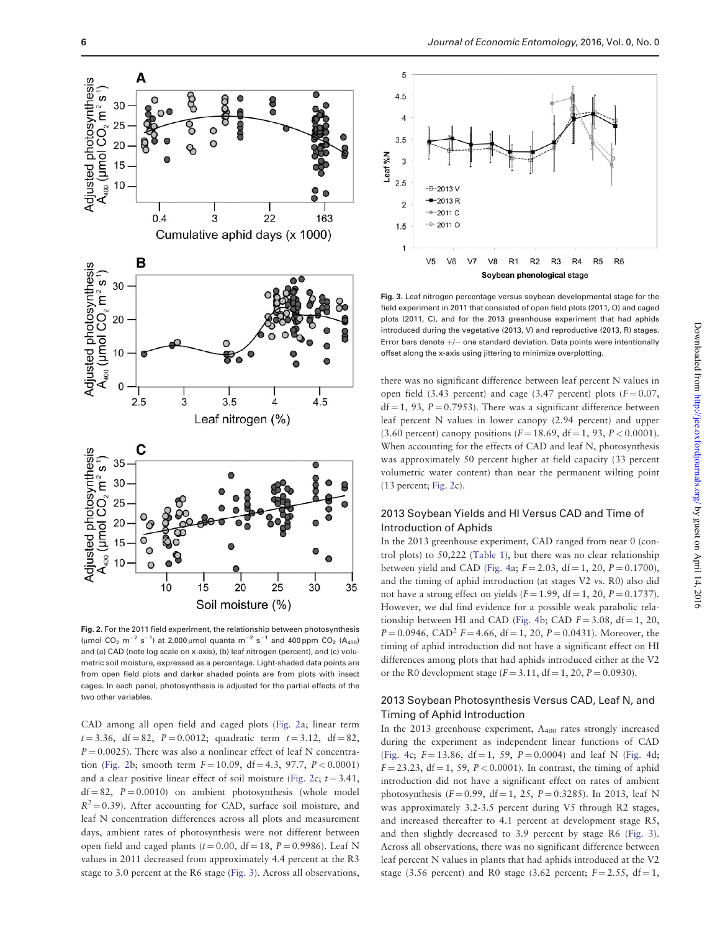

Fig. 2. For the 2011 field experiment, the relationship between photosynthesis (µmol CO<sub>2</sub> m<sup>-2</sup> s<sup>-1</sup>) at 2,000 µmol quanta m<sup>-2</sup> s<sup>-1</sup> and 400 ppm CO<sub>2</sub> (A<sub>400</sub>) and (a) CAD (note log scale on x-axis), (b) leaf nitrogen (percent), and (c) volumetric soil moisture, expressed as a percentage. Light-shaded data points are from open field plots and darker shaded points are from plots with insect cages. In each panel, photosynthesis is adjusted for the partial effects of the two other variables.

CAD among all open field and caged plots (Fig. 2a; linear term  $t = 3.36$ , df = 82, P = 0.0012; quadratic term  $t = 3.12$ , df = 82,  $P = 0.0025$ ). There was also a nonlinear effect of leaf N concentration (Fig. 2b; smooth term  $F = 10.09$ , df = 4.3, 97.7,  $P < 0.0001$ ) and a clear positive linear effect of soil moisture (Fig. 2c;  $t = 3.41$ ,  $df = 82$ ,  $P = 0.0010$ ) on ambient photosynthesis (whole model  $R^2$  = 0.39). After accounting for CAD, surface soil moisture, and leaf N concentration differences across all plots and measurement days, ambient rates of photosynthesis were not different between open field and caged plants ( $t = 0.00$ , df = 18, P = 0.9986). Leaf N values in 2011 decreased from approximately 4.4 percent at the R3 stage to 3.0 percent at the R6 stage (Fig. 3). Across all observations,



Fig. 3. Leaf nitrogen percentage versus soybean developmental stage for the field experiment in 2011 that consisted of open field plots (2011, O) and caged plots (2011, C), and for the 2013 greenhouse experiment that had aphids introduced during the vegetative (2013, V) and reproductive (2013, R) stages. Error bars denote  $+/-$  one standard deviation. Data points were intentionally offset along the x-axis using jittering to minimize overplotting.

there was no significant difference between leaf percent N values in open field (3.43 percent) and cage (3.47 percent) plots  $(F = 0.07,$  $df = 1$ , 93,  $P = 0.7953$ ). There was a significant difference between leaf percent N values in lower canopy (2.94 percent) and upper (3.60 percent) canopy positions ( $F = 18.69$ , df = 1, 93,  $P < 0.0001$ ). When accounting for the effects of CAD and leaf N, photosynthesis was approximately 50 percent higher at field capacity (33 percent volumetric water content) than near the permanent wilting point (13 percent; Fig. 2c).

# 2013 Soybean Yields and HI Versus CAD and Time of Introduction of Aphids

In the 2013 greenhouse experiment, CAD ranged from near 0 (control plots) to 50,222 (Table 1), but there was no clear relationship between yield and CAD (Fig. 4a;  $F = 2.03$ ,  $df = 1$ , 20,  $P = 0.1700$ ), and the timing of aphid introduction (at stages V2 vs. R0) also did not have a strong effect on yields ( $F = 1.99$ , df = 1, 20,  $P = 0.1737$ ). However, we did find evidence for a possible weak parabolic relationship between HI and CAD (Fig. 4b; CAD  $F = 3.08$ , df = 1, 20,  $P = 0.0946$ , CAD<sup>2</sup> F = 4.66, df = 1, 20, P = 0.0431). Moreover, the timing of aphid introduction did not have a significant effect on HI differences among plots that had aphids introduced either at the V2 or the R0 development stage ( $F = 3.11$ , df = 1, 20,  $P = 0.0930$ ).

# 2013 Soybean Photosynthesis Versus CAD, Leaf N, and Timing of Aphid Introduction

In the 2013 greenhouse experiment, A400 rates strongly increased during the experiment as independent linear functions of CAD (Fig. 4c;  $F = 13.86$ ,  $df = 1$ , 59,  $P = 0.0004$ ) and leaf N (Fig. 4d;  $F = 23.23$ , df = 1, 59, P < 0.0001). In contrast, the timing of aphid introduction did not have a significant effect on rates of ambient photosynthesis ( $F = 0.99$ , df = 1, 25,  $P = 0.3285$ ). In 2013, leaf N was approximately 3.2-3.5 percent during V5 through R2 stages, and increased thereafter to 4.1 percent at development stage R5, and then slightly decreased to 3.9 percent by stage R6 (Fig. 3). Across all observations, there was no significant difference between leaf percent N values in plants that had aphids introduced at the V2 stage (3.56 percent) and R0 stage (3.62 percent;  $F = 2.55$ ,  $df = 1$ ,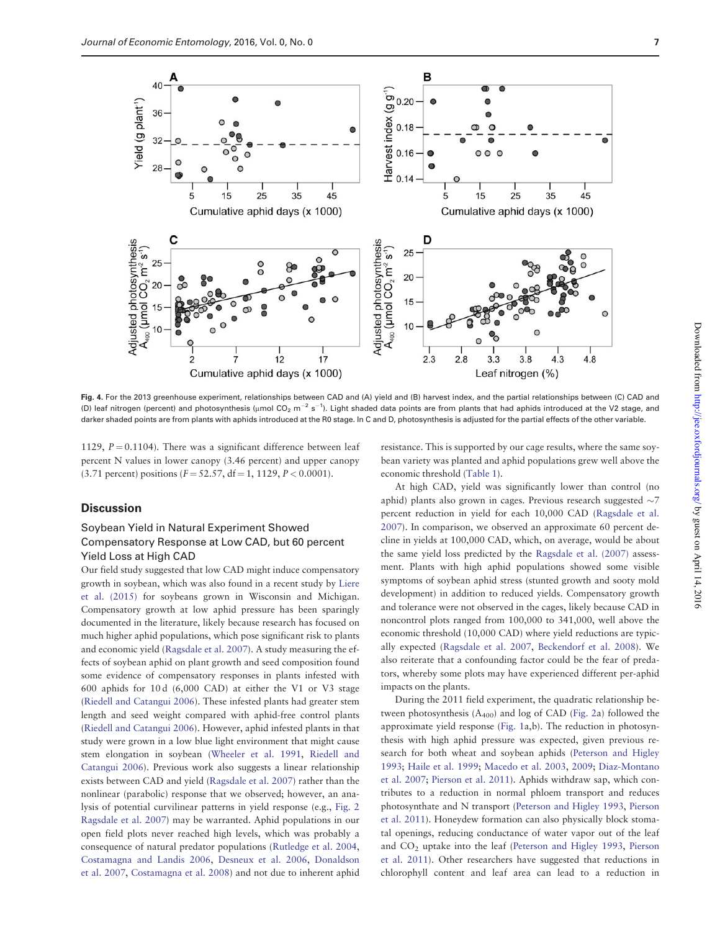

Fig. 4. For the 2013 greenhouse experiment, relationships between CAD and (A) yield and (B) harvest index, and the partial relationships between (C) CAD and (D) leaf nitrogen (percent) and photosynthesis (µmol CO<sub>2</sub> m<sup>-2</sup> s<sup>-1</sup>). Light shaded data points are from plants that had aphids introduced at the V2 stage, and darker shaded points are from plants with aphids introduced at the R0 stage. In C and D, photosynthesis is adjusted for the partial effects of the other variable.

1129,  $P = 0.1104$ ). There was a significant difference between leaf percent N values in lower canopy (3.46 percent) and upper canopy  $(3.71 \text{ percent}) \text{ positions } (F = 52.57, df = 1, 1129, P < 0.0001).$ 

#### **Discussion**

# Soybean Yield in Natural Experiment Showed Compensatory Response at Low CAD, but 60 percent Yield Loss at High CAD

Our field study suggested that low CAD might induce compensatory growth in soybean, which was also found in a recent study by Liere et al. (2015) for soybeans grown in Wisconsin and Michigan. Compensatory growth at low aphid pressure has been sparingly documented in the literature, likely because research has focused on much higher aphid populations, which pose significant risk to plants and economic yield (Ragsdale et al. 2007). A study measuring the effects of soybean aphid on plant growth and seed composition found some evidence of compensatory responses in plants infested with 600 aphids for 10 d (6,000 CAD) at either the V1 or V3 stage (Riedell and Catangui 2006). These infested plants had greater stem length and seed weight compared with aphid-free control plants (Riedell and Catangui 2006). However, aphid infested plants in that study were grown in a low blue light environment that might cause stem elongation in soybean (Wheeler et al. 1991, Riedell and Catangui 2006). Previous work also suggests a linear relationship exists between CAD and yield (Ragsdale et al. 2007) rather than the nonlinear (parabolic) response that we observed; however, an analysis of potential curvilinear patterns in yield response (e.g., Fig. 2 Ragsdale et al. 2007) may be warranted. Aphid populations in our open field plots never reached high levels, which was probably a consequence of natural predator populations (Rutledge et al. 2004, Costamagna and Landis 2006, Desneux et al. 2006, Donaldson et al. 2007, Costamagna et al. 2008) and not due to inherent aphid

resistance. This is supported by our cage results, where the same soybean variety was planted and aphid populations grew well above the economic threshold (Table 1).

At high CAD, yield was significantly lower than control (no aphid) plants also grown in cages. Previous research suggested  $\sim$ 7 percent reduction in yield for each 10,000 CAD (Ragsdale et al. 2007). In comparison, we observed an approximate 60 percent decline in yields at 100,000 CAD, which, on average, would be about the same yield loss predicted by the Ragsdale et al. (2007) assessment. Plants with high aphid populations showed some visible symptoms of soybean aphid stress (stunted growth and sooty mold development) in addition to reduced yields. Compensatory growth and tolerance were not observed in the cages, likely because CAD in noncontrol plots ranged from 100,000 to 341,000, well above the economic threshold (10,000 CAD) where yield reductions are typically expected (Ragsdale et al. 2007, Beckendorf et al. 2008). We also reiterate that a confounding factor could be the fear of predators, whereby some plots may have experienced different per-aphid impacts on the plants.

During the 2011 field experiment, the quadratic relationship between photosynthesis  $(A_{400})$  and log of CAD (Fig. 2a) followed the approximate yield response (Fig. 1a,b). The reduction in photosynthesis with high aphid pressure was expected, given previous research for both wheat and soybean aphids (Peterson and Higley 1993; Haile et al. 1999; Macedo et al. 2003, 2009; Diaz-Montano et al. 2007; Pierson et al. 2011). Aphids withdraw sap, which contributes to a reduction in normal phloem transport and reduces photosynthate and N transport (Peterson and Higley 1993, Pierson et al. 2011). Honeydew formation can also physically block stomatal openings, reducing conductance of water vapor out of the leaf and CO<sub>2</sub> uptake into the leaf (Peterson and Higley 1993, Pierson et al. 2011). Other researchers have suggested that reductions in chlorophyll content and leaf area can lead to a reduction in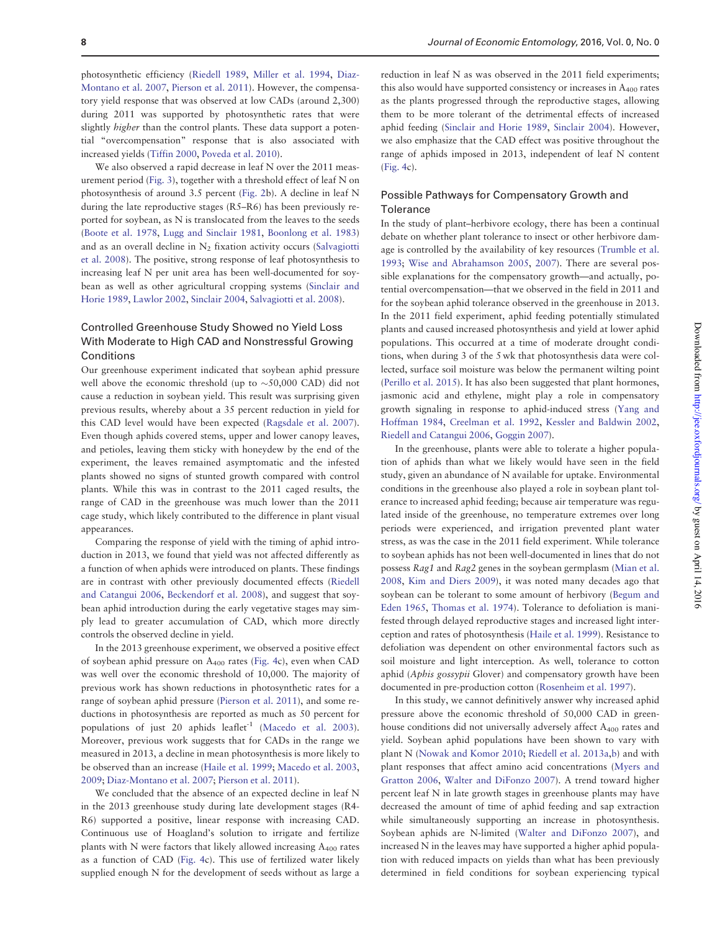photosynthetic efficiency (Riedell 1989, Miller et al. 1994, Diaz-Montano et al. 2007, Pierson et al. 2011). However, the compensatory yield response that was observed at low CADs (around 2,300) during 2011 was supported by photosynthetic rates that were slightly *higher* than the control plants. These data support a potential "overcompensation" response that is also associated with increased yields (Tiffin 2000, Poveda et al. 2010).

We also observed a rapid decrease in leaf N over the 2011 measurement period (Fig. 3), together with a threshold effect of leaf N on photosynthesis of around 3.5 percent (Fig. 2b). A decline in leaf N during the late reproductive stages (R5–R6) has been previously reported for soybean, as N is translocated from the leaves to the seeds (Boote et al. 1978, Lugg and Sinclair 1981, Boonlong et al. 1983) and as an overall decline in  $N_2$  fixation activity occurs (Salvagiotti et al. 2008). The positive, strong response of leaf photosynthesis to increasing leaf N per unit area has been well-documented for soybean as well as other agricultural cropping systems (Sinclair and Horie 1989, Lawlor 2002, Sinclair 2004, Salvagiotti et al. 2008).

# Controlled Greenhouse Study Showed no Yield Loss With Moderate to High CAD and Nonstressful Growing **Conditions**

Our greenhouse experiment indicated that soybean aphid pressure well above the economic threshold (up to  $\sim$  50,000 CAD) did not cause a reduction in soybean yield. This result was surprising given previous results, whereby about a 35 percent reduction in yield for this CAD level would have been expected (Ragsdale et al. 2007). Even though aphids covered stems, upper and lower canopy leaves, and petioles, leaving them sticky with honeydew by the end of the experiment, the leaves remained asymptomatic and the infested plants showed no signs of stunted growth compared with control plants. While this was in contrast to the 2011 caged results, the range of CAD in the greenhouse was much lower than the 2011 cage study, which likely contributed to the difference in plant visual appearances.

Comparing the response of yield with the timing of aphid introduction in 2013, we found that yield was not affected differently as a function of when aphids were introduced on plants. These findings are in contrast with other previously documented effects (Riedell and Catangui 2006, Beckendorf et al. 2008), and suggest that soybean aphid introduction during the early vegetative stages may simply lead to greater accumulation of CAD, which more directly controls the observed decline in yield.

In the 2013 greenhouse experiment, we observed a positive effect of soybean aphid pressure on  $A_{400}$  rates (Fig. 4c), even when CAD was well over the economic threshold of 10,000. The majority of previous work has shown reductions in photosynthetic rates for a range of soybean aphid pressure (Pierson et al. 2011), and some reductions in photosynthesis are reported as much as 50 percent for populations of just 20 aphids leaflet<sup>-1</sup> (Macedo et al. 2003). Moreover, previous work suggests that for CADs in the range we measured in 2013, a decline in mean photosynthesis is more likely to be observed than an increase (Haile et al. 1999; Macedo et al. 2003, 2009; Diaz-Montano et al. 2007; Pierson et al. 2011).

We concluded that the absence of an expected decline in leaf N in the 2013 greenhouse study during late development stages (R4- R6) supported a positive, linear response with increasing CAD. Continuous use of Hoagland's solution to irrigate and fertilize plants with N were factors that likely allowed increasing  $A_{400}$  rates as a function of CAD (Fig. 4c). This use of fertilized water likely supplied enough N for the development of seeds without as large a

# Possible Pathways for Compensatory Growth and **Tolerance**

(Fig. 4c).

In the study of plant–herbivore ecology, there has been a continual debate on whether plant tolerance to insect or other herbivore damage is controlled by the availability of key resources (Trumble et al. 1993; Wise and Abrahamson 2005, 2007). There are several possible explanations for the compensatory growth—and actually, potential overcompensation—that we observed in the field in 2011 and for the soybean aphid tolerance observed in the greenhouse in 2013. In the 2011 field experiment, aphid feeding potentially stimulated plants and caused increased photosynthesis and yield at lower aphid populations. This occurred at a time of moderate drought conditions, when during 3 of the 5 wk that photosynthesis data were collected, surface soil moisture was below the permanent wilting point (Perillo et al. 2015). It has also been suggested that plant hormones, jasmonic acid and ethylene, might play a role in compensatory growth signaling in response to aphid-induced stress (Yang and Hoffman 1984, Creelman et al. 1992, Kessler and Baldwin 2002, Riedell and Catangui 2006, Goggin 2007).

In the greenhouse, plants were able to tolerate a higher population of aphids than what we likely would have seen in the field study, given an abundance of N available for uptake. Environmental conditions in the greenhouse also played a role in soybean plant tolerance to increased aphid feeding; because air temperature was regulated inside of the greenhouse, no temperature extremes over long periods were experienced, and irrigation prevented plant water stress, as was the case in the 2011 field experiment. While tolerance to soybean aphids has not been well-documented in lines that do not possess Rag1 and Rag2 genes in the soybean germplasm (Mian et al. 2008, Kim and Diers 2009), it was noted many decades ago that soybean can be tolerant to some amount of herbivory (Begum and Eden 1965, Thomas et al. 1974). Tolerance to defoliation is manifested through delayed reproductive stages and increased light interception and rates of photosynthesis (Haile et al. 1999). Resistance to defoliation was dependent on other environmental factors such as soil moisture and light interception. As well, tolerance to cotton aphid (Aphis gossypii Glover) and compensatory growth have been documented in pre-production cotton (Rosenheim et al. 1997).

In this study, we cannot definitively answer why increased aphid pressure above the economic threshold of 50,000 CAD in greenhouse conditions did not universally adversely affect  $A_{400}$  rates and yield. Soybean aphid populations have been shown to vary with plant N (Nowak and Komor 2010; Riedell et al. 2013a,b) and with plant responses that affect amino acid concentrations (Myers and Gratton 2006, Walter and DiFonzo 2007). A trend toward higher percent leaf N in late growth stages in greenhouse plants may have decreased the amount of time of aphid feeding and sap extraction while simultaneously supporting an increase in photosynthesis. Soybean aphids are N-limited (Walter and DiFonzo 2007), and increased N in the leaves may have supported a higher aphid population with reduced impacts on yields than what has been previously determined in field conditions for soybean experiencing typical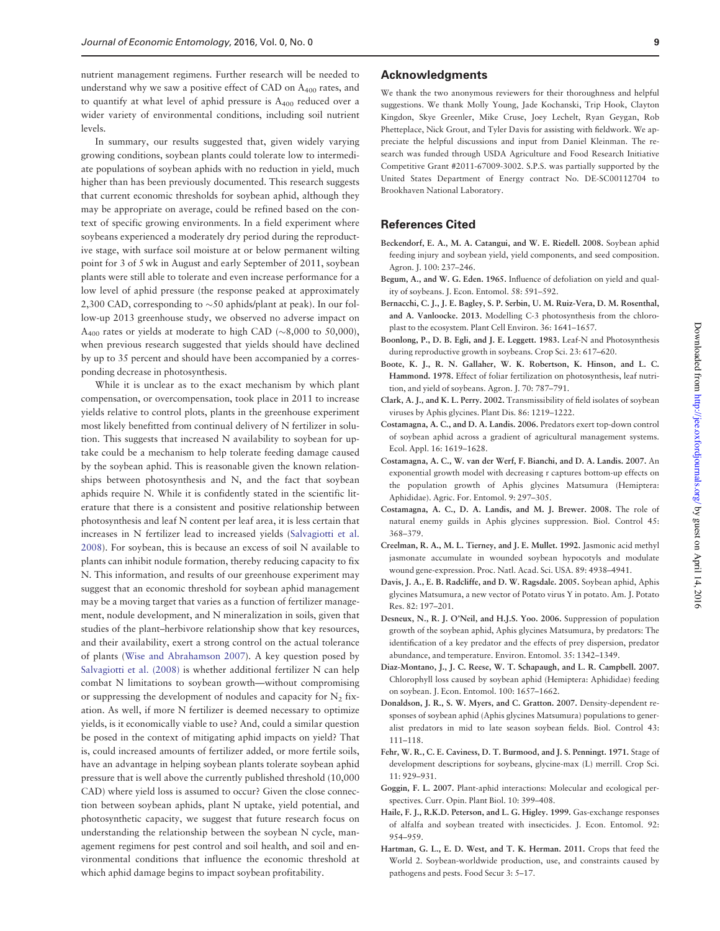nutrient management regimens. Further research will be needed to understand why we saw a positive effect of CAD on A<sub>400</sub> rates, and to quantify at what level of aphid pressure is  $A_{400}$  reduced over a wider variety of environmental conditions, including soil nutrient levels.

In summary, our results suggested that, given widely varying growing conditions, soybean plants could tolerate low to intermediate populations of soybean aphids with no reduction in yield, much higher than has been previously documented. This research suggests that current economic thresholds for soybean aphid, although they may be appropriate on average, could be refined based on the context of specific growing environments. In a field experiment where soybeans experienced a moderately dry period during the reproductive stage, with surface soil moisture at or below permanent wilting point for 3 of 5 wk in August and early September of 2011, soybean plants were still able to tolerate and even increase performance for a low level of aphid pressure (the response peaked at approximately 2,300 CAD, corresponding to  $\sim$  50 aphids/plant at peak). In our follow-up 2013 greenhouse study, we observed no adverse impact on  $A_{400}$  rates or yields at moderate to high CAD ( $\sim$ 8,000 to 50,000), when previous research suggested that yields should have declined by up to 35 percent and should have been accompanied by a corresponding decrease in photosynthesis.

While it is unclear as to the exact mechanism by which plant compensation, or overcompensation, took place in 2011 to increase yields relative to control plots, plants in the greenhouse experiment most likely benefitted from continual delivery of N fertilizer in solution. This suggests that increased N availability to soybean for uptake could be a mechanism to help tolerate feeding damage caused by the soybean aphid. This is reasonable given the known relationships between photosynthesis and N, and the fact that soybean aphids require N. While it is confidently stated in the scientific literature that there is a consistent and positive relationship between photosynthesis and leaf N content per leaf area, it is less certain that increases in N fertilizer lead to increased yields (Salvagiotti et al. 2008). For soybean, this is because an excess of soil N available to plants can inhibit nodule formation, thereby reducing capacity to fix N. This information, and results of our greenhouse experiment may suggest that an economic threshold for soybean aphid management may be a moving target that varies as a function of fertilizer management, nodule development, and N mineralization in soils, given that studies of the plant–herbivore relationship show that key resources, and their availability, exert a strong control on the actual tolerance of plants (Wise and Abrahamson 2007). A key question posed by Salvagiotti et al. (2008) is whether additional fertilizer N can help combat N limitations to soybean growth—without compromising or suppressing the development of nodules and capacity for  $N_2$  fixation. As well, if more N fertilizer is deemed necessary to optimize yields, is it economically viable to use? And, could a similar question be posed in the context of mitigating aphid impacts on yield? That is, could increased amounts of fertilizer added, or more fertile soils, have an advantage in helping soybean plants tolerate soybean aphid pressure that is well above the currently published threshold (10,000 CAD) where yield loss is assumed to occur? Given the close connection between soybean aphids, plant N uptake, yield potential, and photosynthetic capacity, we suggest that future research focus on understanding the relationship between the soybean N cycle, management regimens for pest control and soil health, and soil and environmental conditions that influence the economic threshold at which aphid damage begins to impact soybean profitability.

### Acknowledgments

We thank the two anonymous reviewers for their thoroughness and helpful suggestions. We thank Molly Young, Jade Kochanski, Trip Hook, Clayton Kingdon, Skye Greenler, Mike Cruse, Joey Lechelt, Ryan Geygan, Rob Phetteplace, Nick Grout, and Tyler Davis for assisting with fieldwork. We appreciate the helpful discussions and input from Daniel Kleinman. The research was funded through USDA Agriculture and Food Research Initiative Competitive Grant #2011-67009-3002. S.P.S. was partially supported by the United States Department of Energy contract No. DE-SC00112704 to Brookhaven National Laboratory.

### References Cited

- Beckendorf, E. A., M. A. Catangui, and W. E. Riedell. 2008. Soybean aphid feeding injury and soybean yield, yield components, and seed composition. Agron. J. 100: 237–246.
- Begum, A., and W. G. Eden. 1965. Influence of defoliation on yield and quality of soybeans. J. Econ. Entomol. 58: 591–592.
- Bernacchi, C. J., J. E. Bagley, S. P. Serbin, U. M. Ruiz-Vera, D. M. Rosenthal, and A. Vanloocke. 2013. Modelling C-3 photosynthesis from the chloroplast to the ecosystem. Plant Cell Environ. 36: 1641–1657.
- Boonlong, P., D. B. Egli, and J. E. Leggett. 1983. Leaf-N and Photosynthesis during reproductive growth in soybeans. Crop Sci. 23: 617–620.
- Boote, K. J., R. N. Gallaher, W. K. Robertson, K. Hinson, and L. C. Hammond. 1978. Effect of foliar fertilization on photosynthesis, leaf nutrition, and yield of soybeans. Agron. J. 70: 787–791.
- Clark, A. J., and K. L. Perry. 2002. Transmissibility of field isolates of soybean viruses by Aphis glycines. Plant Dis. 86: 1219–1222.
- Costamagna, A. C., and D. A. Landis. 2006. Predators exert top-down control of soybean aphid across a gradient of agricultural management systems. Ecol. Appl. 16: 1619–1628.
- Costamagna, A. C., W. van der Werf, F. Bianchi, and D. A. Landis. 2007. An exponential growth model with decreasing r captures bottom-up effects on the population growth of Aphis glycines Matsumura (Hemiptera: Aphididae). Agric. For. Entomol. 9: 297–305.
- Costamagna, A. C., D. A. Landis, and M. J. Brewer. 2008. The role of natural enemy guilds in Aphis glycines suppression. Biol. Control 45: 368–379.
- Creelman, R. A., M. L. Tierney, and J. E. Mullet. 1992. Jasmonic acid methyl jasmonate accumulate in wounded soybean hypocotyls and modulate wound gene-expression. Proc. Natl. Acad. Sci. USA. 89: 4938–4941.
- Davis, J. A., E. B. Radcliffe, and D. W. Ragsdale. 2005. Soybean aphid, Aphis glycines Matsumura, a new vector of Potato virus Y in potato. Am. J. Potato Res. 82: 197–201.
- Desneux, N., R. J. O'Neil, and H.J.S. Yoo. 2006. Suppression of population growth of the soybean aphid, Aphis glycines Matsumura, by predators: The identification of a key predator and the effects of prey dispersion, predator abundance, and temperature. Environ. Entomol. 35: 1342–1349.
- Diaz-Montano, J., J. C. Reese, W. T. Schapaugh, and L. R. Campbell. 2007. Chlorophyll loss caused by soybean aphid (Hemiptera: Aphididae) feeding on soybean. J. Econ. Entomol. 100: 1657–1662.
- Donaldson, J. R., S. W. Myers, and C. Gratton. 2007. Density-dependent responses of soybean aphid (Aphis glycines Matsumura) populations to generalist predators in mid to late season soybean fields. Biol. Control 43: 111–118.
- Fehr, W. R., C. E. Caviness, D. T. Burmood, and J. S. Penningt. 1971. Stage of development descriptions for soybeans, glycine-max (L) merrill. Crop Sci. 11: 929–931.
- Goggin, F. L. 2007. Plant-aphid interactions: Molecular and ecological perspectives. Curr. Opin. Plant Biol. 10: 399–408.
- Haile, F. J., R.K.D. Peterson, and L. G. Higley. 1999. Gas-exchange responses of alfalfa and soybean treated with insecticides. J. Econ. Entomol. 92: 954–959.
- Hartman, G. L., E. D. West, and T. K. Herman. 2011. Crops that feed the World 2. Soybean-worldwide production, use, and constraints caused by pathogens and pests. Food Secur 3: 5–17.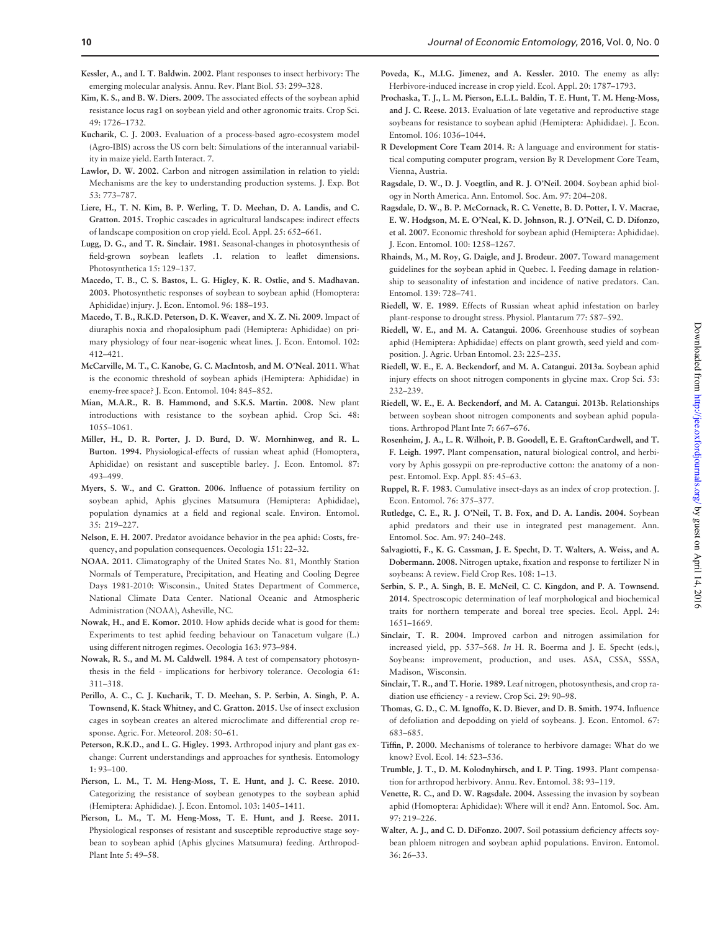- Kessler, A., and I. T. Baldwin. 2002. Plant responses to insect herbivory: The emerging molecular analysis. Annu. Rev. Plant Biol. 53: 299–328.
- Kim, K. S., and B. W. Diers. 2009. The associated effects of the soybean aphid resistance locus rag1 on soybean yield and other agronomic traits. Crop Sci. 49: 1726–1732.
- Kucharik, C. J. 2003. Evaluation of a process-based agro-ecosystem model (Agro-IBIS) across the US corn belt: Simulations of the interannual variability in maize yield. Earth Interact. 7.
- Lawlor, D. W. 2002. Carbon and nitrogen assimilation in relation to yield: Mechanisms are the key to understanding production systems. J. Exp. Bot 53: 773–787.
- Liere, H., T. N. Kim, B. P. Werling, T. D. Meehan, D. A. Landis, and C. Gratton. 2015. Trophic cascades in agricultural landscapes: indirect effects of landscape composition on crop yield. Ecol. Appl. 25: 652–661.
- Lugg, D. G., and T. R. Sinclair. 1981. Seasonal-changes in photosynthesis of field-grown soybean leaflets .1. relation to leaflet dimensions. Photosynthetica 15: 129–137.
- Macedo, T. B., C. S. Bastos, L. G. Higley, K. R. Ostlie, and S. Madhavan. 2003. Photosynthetic responses of soybean to soybean aphid (Homoptera: Aphididae) injury. J. Econ. Entomol. 96: 188–193.
- Macedo, T. B., R.K.D. Peterson, D. K. Weaver, and X. Z. Ni. 2009. Impact of diuraphis noxia and rhopalosiphum padi (Hemiptera: Aphididae) on primary physiology of four near-isogenic wheat lines. J. Econ. Entomol. 102: 412–421.
- McCarville, M. T., C. Kanobe, G. C. MacIntosh, and M. O'Neal. 2011. What is the economic threshold of soybean aphids (Hemiptera: Aphididae) in enemy-free space? J. Econ. Entomol. 104: 845–852.
- Mian, M.A.R., R. B. Hammond, and S.K.S. Martin. 2008. New plant introductions with resistance to the soybean aphid. Crop Sci. 48: 1055–1061.
- Miller, H., D. R. Porter, J. D. Burd, D. W. Mornhinweg, and R. L. Burton. 1994. Physiological-effects of russian wheat aphid (Homoptera, Aphididae) on resistant and susceptible barley. J. Econ. Entomol. 87: 493–499.
- Myers, S. W., and C. Gratton. 2006. Influence of potassium fertility on soybean aphid, Aphis glycines Matsumura (Hemiptera: Aphididae), population dynamics at a field and regional scale. Environ. Entomol. 35: 219–227.
- Nelson, E. H. 2007. Predator avoidance behavior in the pea aphid: Costs, frequency, and population consequences. Oecologia 151: 22–32.
- NOAA. 2011. Climatography of the United States No. 81, Monthly Station Normals of Temperature, Precipitation, and Heating and Cooling Degree Days 1981-2010: Wisconsin., United States Department of Commerce, National Climate Data Center. National Oceanic and Atmospheric Administration (NOAA), Asheville, NC.
- Nowak, H., and E. Komor. 2010. How aphids decide what is good for them: Experiments to test aphid feeding behaviour on Tanacetum vulgare (L.) using different nitrogen regimes. Oecologia 163: 973–984.
- Nowak, R. S., and M. M. Caldwell. 1984. A test of compensatory photosynthesis in the field - implications for herbivory tolerance. Oecologia 61: 311–318.
- Perillo, A. C., C. J. Kucharik, T. D. Meehan, S. P. Serbin, A. Singh, P. A. Townsend, K. Stack Whitney, and C. Gratton. 2015. Use of insect exclusion cages in soybean creates an altered microclimate and differential crop response. Agric. For. Meteorol. 208: 50–61.
- Peterson, R.K.D., and L. G. Higley. 1993. Arthropod injury and plant gas exchange: Current understandings and approaches for synthesis. Entomology 1: 93–100.
- Pierson, L. M., T. M. Heng-Moss, T. E. Hunt, and J. C. Reese. 2010. Categorizing the resistance of soybean genotypes to the soybean aphid (Hemiptera: Aphididae). J. Econ. Entomol. 103: 1405–1411.
- Pierson, L. M., T. M. Heng-Moss, T. E. Hunt, and J. Reese. 2011. Physiological responses of resistant and susceptible reproductive stage soybean to soybean aphid (Aphis glycines Matsumura) feeding. Arthropod-Plant Inte 5: 49–58.
- Poveda, K., M.I.G. Jimenez, and A. Kessler. 2010. The enemy as ally: Herbivore-induced increase in crop yield. Ecol. Appl. 20: 1787–1793.
- Prochaska, T. J., L. M. Pierson, E.L.L. Baldin, T. E. Hunt, T. M. Heng-Moss, and J. C. Reese. 2013. Evaluation of late vegetative and reproductive stage soybeans for resistance to soybean aphid (Hemiptera: Aphididae). J. Econ. Entomol. 106: 1036–1044.
- R Development Core Team 2014. R: A language and environment for statistical computing computer program, version By R Development Core Team, Vienna, Austria.
- Ragsdale, D. W., D. J. Voegtlin, and R. J. O'Neil. 2004. Soybean aphid biology in North America. Ann. Entomol. Soc. Am. 97: 204–208.
- Ragsdale, D. W., B. P. McCornack, R. C. Venette, B. D. Potter, I. V. Macrae, E. W. Hodgson, M. E. O'Neal, K. D. Johnson, R. J. O'Neil, C. D. Difonzo, et al. 2007. Economic threshold for soybean aphid (Hemiptera: Aphididae). J. Econ. Entomol. 100: 1258–1267.
- Rhainds, M., M. Roy, G. Daigle, and J. Brodeur. 2007. Toward management guidelines for the soybean aphid in Quebec. I. Feeding damage in relationship to seasonality of infestation and incidence of native predators. Can. Entomol. 139: 728–741.
- Riedell, W. E. 1989. Effects of Russian wheat aphid infestation on barley plant-response to drought stress. Physiol. Plantarum 77: 587–592.
- Riedell, W. E., and M. A. Catangui. 2006. Greenhouse studies of soybean aphid (Hemiptera: Aphididae) effects on plant growth, seed yield and composition. J. Agric. Urban Entomol. 23: 225–235.
- Riedell, W. E., E. A. Beckendorf, and M. A. Catangui. 2013a. Soybean aphid injury effects on shoot nitrogen components in glycine max. Crop Sci. 53: 232–239.
- Riedell, W. E., E. A. Beckendorf, and M. A. Catangui. 2013b. Relationships between soybean shoot nitrogen components and soybean aphid populations. Arthropod Plant Inte 7: 667–676.
- Rosenheim, J. A., L. R. Wilhoit, P. B. Goodell, E. E. GraftonCardwell, and T. F. Leigh. 1997. Plant compensation, natural biological control, and herbivory by Aphis gossypii on pre-reproductive cotton: the anatomy of a nonpest. Entomol. Exp. Appl. 85: 45–63.
- Ruppel, R. F. 1983. Cumulative insect-days as an index of crop protection. J. Econ. Entomol. 76: 375–377.
- Rutledge, C. E., R. J. O'Neil, T. B. Fox, and D. A. Landis. 2004. Soybean aphid predators and their use in integrated pest management. Ann. Entomol. Soc. Am. 97: 240–248.
- Salvagiotti, F., K. G. Cassman, J. E. Specht, D. T. Walters, A. Weiss, and A. Dobermann. 2008. Nitrogen uptake, fixation and response to fertilizer N in soybeans: A review. Field Crop Res. 108: 1–13.
- Serbin, S. P., A. Singh, B. E. McNeil, C. C. Kingdon, and P. A. Townsend. 2014. Spectroscopic determination of leaf morphological and biochemical traits for northern temperate and boreal tree species. Ecol. Appl. 24: 1651–1669.
- Sinclair, T. R. 2004. Improved carbon and nitrogen assimilation for increased yield, pp. 537–568. In H. R. Boerma and J. E. Specht (eds.), Soybeans: improvement, production, and uses. ASA, CSSA, SSSA, Madison, Wisconsin.
- Sinclair, T. R., and T. Horie. 1989. Leaf nitrogen, photosynthesis, and crop radiation use efficiency - a review. Crop Sci. 29: 90–98.
- Thomas, G. D., C. M. Ignoffo, K. D. Biever, and D. B. Smith. 1974. Influence of defoliation and depodding on yield of soybeans. J. Econ. Entomol. 67: 683–685.
- Tiffin, P. 2000. Mechanisms of tolerance to herbivore damage: What do we know? Evol. Ecol. 14: 523–536.
- Trumble, J. T., D. M. Kolodnyhirsch, and I. P. Ting. 1993. Plant compensation for arthropod herbivory. Annu. Rev. Entomol. 38: 93–119.
- Venette, R. C., and D. W. Ragsdale. 2004. Assessing the invasion by soybean aphid (Homoptera: Aphididae): Where will it end? Ann. Entomol. Soc. Am. 97: 219–226.
- Walter, A. J., and C. D. DiFonzo. 2007. Soil potassium deficiency affects soybean phloem nitrogen and soybean aphid populations. Environ. Entomol. 36: 26–33.